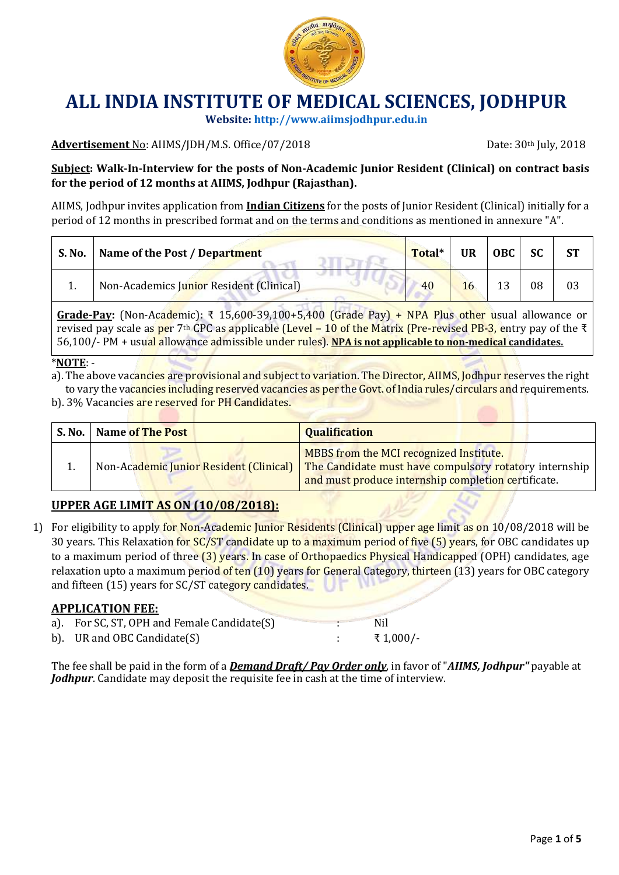

**Website[: http://www.aiimsjodhpur.edu.in](http://www.aiimsjodhpur.edu.in/)**

#### Advertisement No: AIIMS/JDH/M.S. Office/07/2018 **Date: 30th July, 2018** Date: 30th July, 2018

**Subject: Walk-In-Interview for the posts of Non-Academic Junior Resident (Clinical) on contract basis for the period of 12 months at AIIMS, Jodhpur (Rajasthan).**

AIIMS, Jodhpur invites application from **Indian Citizens** for the posts of Junior Resident (Clinical) initially for a period of 12 months in prescribed format and on the terms and conditions as mentioned in annexure "A".

| S. No. | Name of the Post / Department            | Total* | <b>UR</b> | $\vert$ OBC $\vert$ SC |    |  |
|--------|------------------------------------------|--------|-----------|------------------------|----|--|
|        | Non-Academics Junior Resident (Clinical) | 40     | 16        |                        | 08 |  |

**Grade-Pay:** (Non-Academic): ₹ 15,600-39,100+5,400 (Grade Pay) + NPA Plus other usual allowance or revised pay scale as per 7<sup>th</sup> CPC as applicable (Level – 10 of the Matrix (Pre-revised PB-3, entry pay of the ₹ 56,100/- PM + usual allowance admissible under rules). **NPA is not applicable to non-medical candidates.**

#### \***NOTE**: -

a). The above vacancies are provisional and subject to variation. The Director, AIIMS, Jodhpur reserves the right to vary the vacancies including reserved vacancies as per the Govt. of India rules/circulars and requirements.

b). 3% Vacancies are reserved for PH Candidates.

| <b>S. No.</b> | Name of The Post                        | <b>Qualification</b>                                                                                                                                     |
|---------------|-----------------------------------------|----------------------------------------------------------------------------------------------------------------------------------------------------------|
|               | Non-Academic Junior Resident (Clinical) | MBBS from the MCI recognized Institute.<br>The Candidate must have compulsory rotatory internship<br>and must produce internship completion certificate. |

### **UPPER AGE LIMIT AS ON (10/08/2018):**

1) For eligibility to apply for Non-Academic Junior Residents (Clinical) upper age limit as on 10/08/2018 will be 30 years. This Relaxation for SC/ST candidate up to a maximum period of five (5) years, for OBC candidates up to a maximum period of three (3) years. In case of Orthopaedics Physical Handicapped (OPH) candidates, age relaxation upto a maximum period of ten (10) years for General Category, thirteen (13) years for OBC category and fifteen (15) years for SC/ST category candidates.

#### **APPLICATION FEE:**

| a). For SC, ST, OPH and Female Candidate(S) | Nil      |
|---------------------------------------------|----------|
| b). UR and OBC Candidate(S)                 | ₹1,000/- |

The fee shall be paid in the form of a *Demand Draft/ Pay Order only*, in favor of "*AIIMS, Jodhpur"* payable at *Jodhpur*. Candidate may deposit the requisite fee in cash at the time of interview.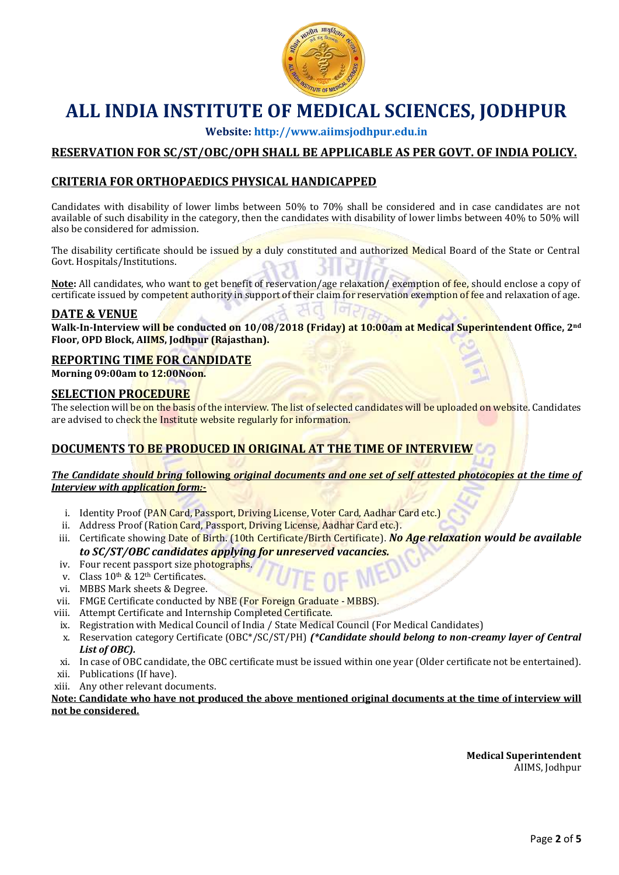

**Website[: http://www.aiimsjodhpur.edu.in](http://www.aiimsjodhpur.edu.in/)**

## **RESERVATION FOR SC/ST/OBC/OPH SHALL BE APPLICABLE AS PER GOVT. OF INDIA POLICY.**

#### **CRITERIA FOR ORTHOPAEDICS PHYSICAL HANDICAPPED**

Candidates with disability of lower limbs between 50% to 70% shall be considered and in case candidates are not available of such disability in the category, then the candidates with disability of lower limbs between 40% to 50% will also be considered for admission.

The disability certificate should be issued by a duly constituted and authorized Medical Board of the State or Central Govt. Hospitals/Institutions.

Note: All candidates, who want to get benefit of reservation/age relaxation/exemption of fee, should enclose a copy of certificate issued by competent authority in support of their claim for reservation exemption of fee and relaxation of age.

#### **DATE & VENUE**

**Walk-In-Interview will be conducted on 10/08/2018 (Friday) at 10:00am at Medical Superintendent Office, 2nd Floor, OPD Block, AIIMS, Jodhpur (Rajasthan).**

#### **REPORTING TIME FOR CANDIDATE**

**Morning 09:00am to 12:00Noon.**

#### **SELECTION PROCEDURE**

The selection will be on the basis of the interview. The list of selected candidates will be uploaded on website. Candidates are advised to check the Institute website regularly for information.

#### **DOCUMENTS TO BE PRODUCED IN ORIGINAL AT THE TIME OF INTERVIEW**

*The Candidate should bring* **following** *original documents and one set of self attested photocopies at the time of Interview with application form:-*

- i. Identity Proof (PAN Card, Passport, Driving License, Voter Card, Aadhar Card etc.)
- ii. Address Proof (Ration Card, Passport, Driving License, Aadhar Card etc.).
- iii. Certificate showing Date of Birth. (10th Certificate/Birth Certificate). *No Age relaxation would be available to SC/ST/OBC candidates applying for unreserved vacancies.*
- iv. Four recent passport size photographs.
- v. Class 10th & 12th Certificates.
- vi. MBBS Mark sheets & Degree.
- vii. FMGE Certificate conducted by NBE (For Foreign Graduate MBBS).
- viii. Attempt Certificate and Internship Completed Certificate.
- ix. Registration with Medical Council of India / State Medical Council (For Medical Candidates)
- x. Reservation category Certificate (OBC\*/SC/ST/PH) *(\*Candidate should belong to non-creamy layer of Central List of OBC).*
- xi. In case of OBC candidate, the OBC certificate must be issued within one year (Older certificate not be entertained).
- xii. Publications (If have).
- xiii. Any other relevant documents.

**Note: Candidate who have not produced the above mentioned original documents at the time of interview will not be considered.**

> **Medical Superintendent** AIIMS, Jodhpur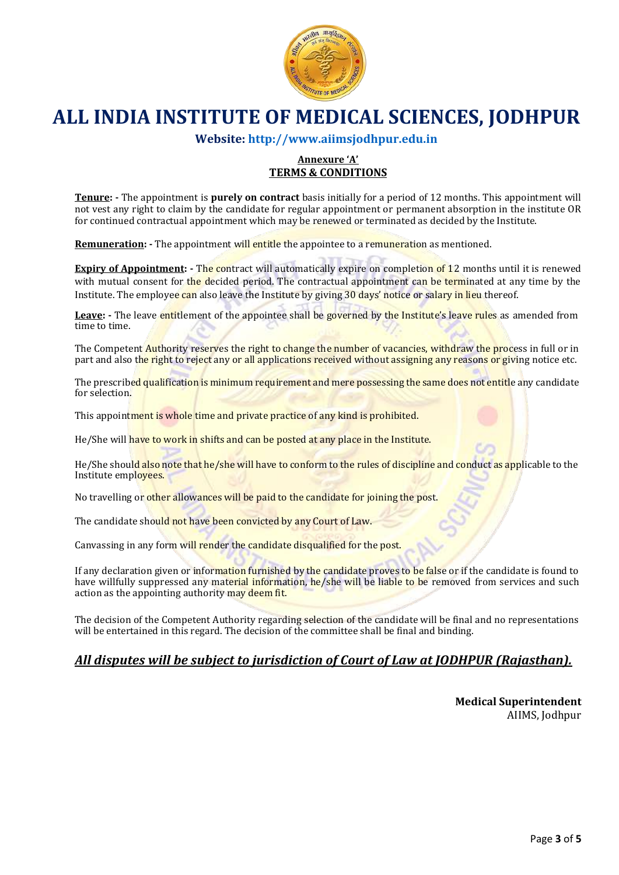

**Website: [http://www.aiimsjodhpur.edu.in](http://www.aiimsjodhpur.edu.in/)**

#### **Annexure 'A' TERMS & CONDITIONS**

**Tenure: -** The appointment is **purely on contract** basis initially for a period of 12 months. This appointment will not vest any right to claim by the candidate for regular appointment or permanent absorption in the institute OR for continued contractual appointment which may be renewed or terminated as decided by the Institute.

**Remuneration: -** The appointment will entitle the appointee to a remuneration as mentioned.

**Expiry of Appointment: -** The contract will automatically expire on completion of 12 months until it is renewed with mutual consent for the decided period. The contractual appointment can be terminated at any time by the Institute. The employee can also leave the Institute by giving 30 days' notice or salary in lieu thereof.

Leave: - The leave entitlement of the appointee shall be governed by the Institute's leave rules as amended from time to time.

The Competent Authority reserves the right to change the number of vacancies, withdraw the process in full or in part and also the right to reject any or all applications received without assigning any reasons or giving notice etc.

The prescribed qualification is minimum requirement and mere possessing the same does not entitle any candidate for selection.

This appointment is whole time and private practice of any kind is prohibited.

He/She will have to work in shifts and can be posted at any place in the Institute.

He/She should also note that he/she will have to conform to the rules of discipline and conduct as applicable to the Institute employees.

No travelling or other allowances will be paid to the candidate for joining the post.

The candidate should not have been convicted by any Court of Law.

Canvassing in any form will render the candidate disqualified for the post.

If any declaration given or information furnished by the candidate proves to be false or if the candidate is found to have willfully suppressed any material information, he/she will be liable to be removed from services and such action as the appointing authority may deem fit.

The decision of the Competent Authority regarding selection of the candidate will be final and no representations will be entertained in this regard. The decision of the committee shall be final and binding.

### *All disputes will be subject to jurisdiction of Court of Law at JODHPUR (Rajasthan).*

**Medical Superintendent** AIIMS, Jodhpur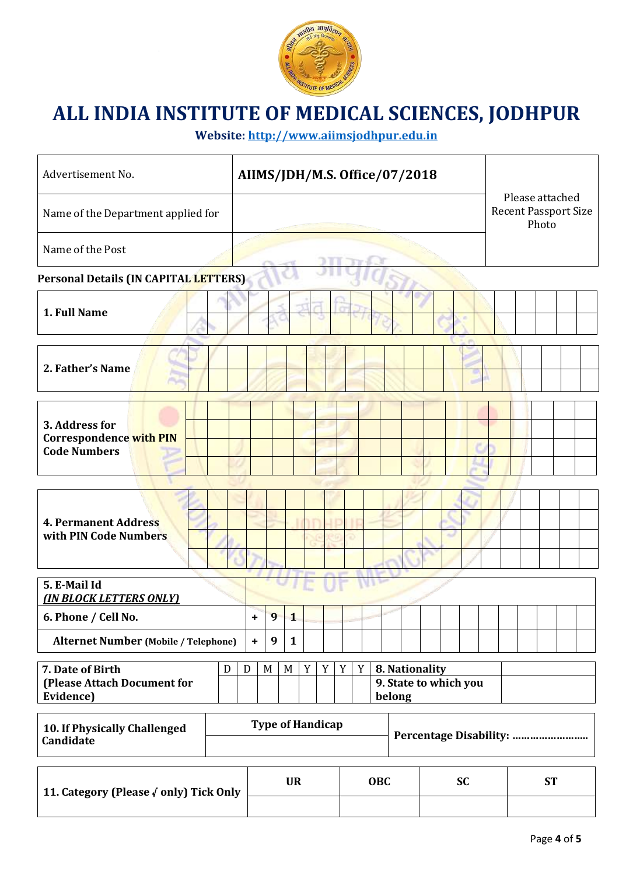

**Website: [http://www.aiimsjodhpur.edu.in](http://www.aiimsjodhpur.edu.in/)**

| Advertisement No.                                                 |  |           |                                                                                                          |                         |  |  |  |  | AIIMS/JDH/M.S. Office/07/2018 |  |                        |  |                                                         |  |  |  |  |  |  |
|-------------------------------------------------------------------|--|-----------|----------------------------------------------------------------------------------------------------------|-------------------------|--|--|--|--|-------------------------------|--|------------------------|--|---------------------------------------------------------|--|--|--|--|--|--|
| Name of the Department applied for                                |  |           |                                                                                                          |                         |  |  |  |  |                               |  |                        |  | Please attached<br><b>Recent Passport Size</b><br>Photo |  |  |  |  |  |  |
| Name of the Post                                                  |  |           |                                                                                                          |                         |  |  |  |  |                               |  |                        |  |                                                         |  |  |  |  |  |  |
| <b>Personal Details (IN CAPITAL LETTERS)</b>                      |  |           |                                                                                                          |                         |  |  |  |  |                               |  |                        |  |                                                         |  |  |  |  |  |  |
| 1. Full Name                                                      |  |           |                                                                                                          |                         |  |  |  |  |                               |  |                        |  |                                                         |  |  |  |  |  |  |
| 2. Father's Name                                                  |  |           |                                                                                                          |                         |  |  |  |  |                               |  |                        |  |                                                         |  |  |  |  |  |  |
| 3. Address for<br>Correspondence with PIN<br><b>Code Numbers</b>  |  |           |                                                                                                          |                         |  |  |  |  |                               |  |                        |  |                                                         |  |  |  |  |  |  |
| <b>4. Permanent Address</b><br>with PIN Code Numbers              |  |           |                                                                                                          |                         |  |  |  |  |                               |  |                        |  |                                                         |  |  |  |  |  |  |
| 5. E-Mail Id                                                      |  |           |                                                                                                          |                         |  |  |  |  |                               |  |                        |  |                                                         |  |  |  |  |  |  |
| <b>(IN BLOCK LETTERS ONLY)</b><br>6. Phone / Cell No.             |  | $\ddot{}$ | 9 <sub>1</sub>                                                                                           | $\overline{\mathbf{1}}$ |  |  |  |  |                               |  |                        |  |                                                         |  |  |  |  |  |  |
| <b>Alternet Number (Mobile / Telephone)</b>                       |  | $\ddot{}$ | 9                                                                                                        | $\mathbf{1}$            |  |  |  |  |                               |  |                        |  |                                                         |  |  |  |  |  |  |
| 7. Date of Birth<br>D<br>(Please Attach Document for<br>Evidence) |  |           | $\mathbf Y$<br>Y<br>Y<br>$\mathbf Y$<br>M<br>M<br>8. Nationality<br>D<br>9. State to which you<br>belong |                         |  |  |  |  |                               |  |                        |  |                                                         |  |  |  |  |  |  |
| 10. If Physically Challenged<br>Candidate                         |  |           | <b>Type of Handicap</b>                                                                                  |                         |  |  |  |  |                               |  |                        |  |                                                         |  |  |  |  |  |  |
| 11. Category (Please Oonly) Tick Only                             |  |           | <b>UR</b><br>OBC                                                                                         |                         |  |  |  |  |                               |  | <b>SC</b><br><b>ST</b> |  |                                                         |  |  |  |  |  |  |